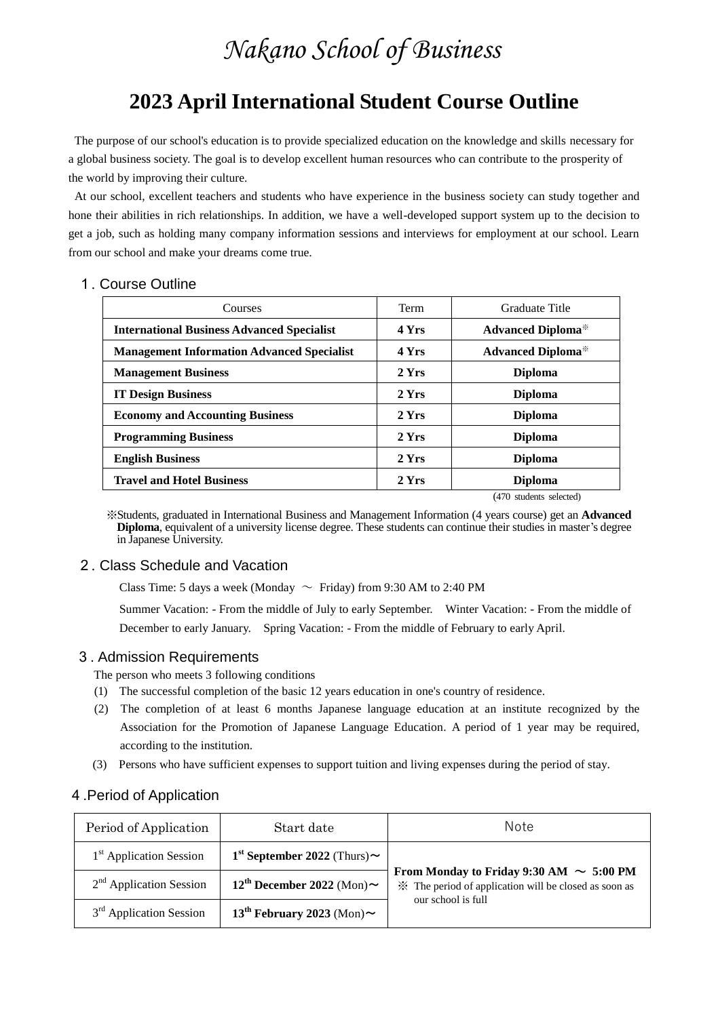# *Nakano School of Business*

# **2023 April International Student Course Outline**

The purpose of our school's education is to provide specialized education on the knowledge and skills necessary for a global business society. The goal is to develop excellent human resources who can contribute to the prosperity of the world by improving their culture.

At our school, excellent teachers and students who have experience in the business society can study together and hone their abilities in rich relationships. In addition, we have a well-developed support system up to the decision to get a job, such as holding many company information sessions and interviews for employment at our school. Learn from our school and make your dreams come true.

#### 1. Course Outline

| Courses                                           | Term  | Graduate Title                        |  |
|---------------------------------------------------|-------|---------------------------------------|--|
| <b>International Business Advanced Specialist</b> | 4 Yrs | <b>Advanced Diploma</b> <sup>**</sup> |  |
| <b>Management Information Advanced Specialist</b> | 4 Yrs | <b>Advanced Diploma</b> *             |  |
| <b>Management Business</b>                        | 2 Yrs | <b>Diploma</b>                        |  |
| <b>IT Design Business</b>                         | 2 Yrs | <b>Diploma</b>                        |  |
| <b>Economy and Accounting Business</b>            | 2 Yrs | <b>Diploma</b>                        |  |
| <b>Programming Business</b>                       | 2 Yrs | <b>Diploma</b>                        |  |
| <b>English Business</b>                           | 2 Yrs | <b>Diploma</b>                        |  |
| <b>Travel and Hotel Business</b>                  | 2 Yrs | <b>Diploma</b>                        |  |
|                                                   |       | (470 students selected)               |  |

※Students, graduated in International Business and Management Information (4 years course) get an **Advanced Diploma**, equivalent of a university license degree. These students can continue their studies in master's degree in Japanese University.

#### 2. Class Schedule and Vacation

Class Time: 5 days a week (Monday  $\sim$  Friday) from 9:30 AM to 2:40 PM

Summer Vacation: - From the middle of July to early September. Winter Vacation: - From the middle of December to early January. Spring Vacation: - From the middle of February to early April.

#### 3. Admission Requirements

- The person who meets 3 following conditions
- (1) The successful completion of the basic 12 years education in one's country of residence.
- (2) The completion of at least 6 months Japanese language education at an institute recognized by the Association for the Promotion of Japanese Language Education. A period of 1 year may be required, according to the institution.
- (3) Persons who have sufficient expenses to support tuition and living expenses during the period of stay.

#### 4.Period of Application

| Period of Application               | Start date                                    | Note                                                                                                          |  |
|-------------------------------------|-----------------------------------------------|---------------------------------------------------------------------------------------------------------------|--|
| 1 <sup>st</sup> Application Session | 1 <sup>st</sup> September 2022 (Thurs) $\sim$ | From Monday to Friday 9:30 AM $\sim 5:00 \text{ PM}$<br>* The period of application will be closed as soon as |  |
| $2nd$ Application Session           | 12 <sup>th</sup> December 2022 (Mon) $\sim$   |                                                                                                               |  |
| $3rd$ Application Session           | $13th$ February 2023 (Mon) $\sim$             | our school is full                                                                                            |  |